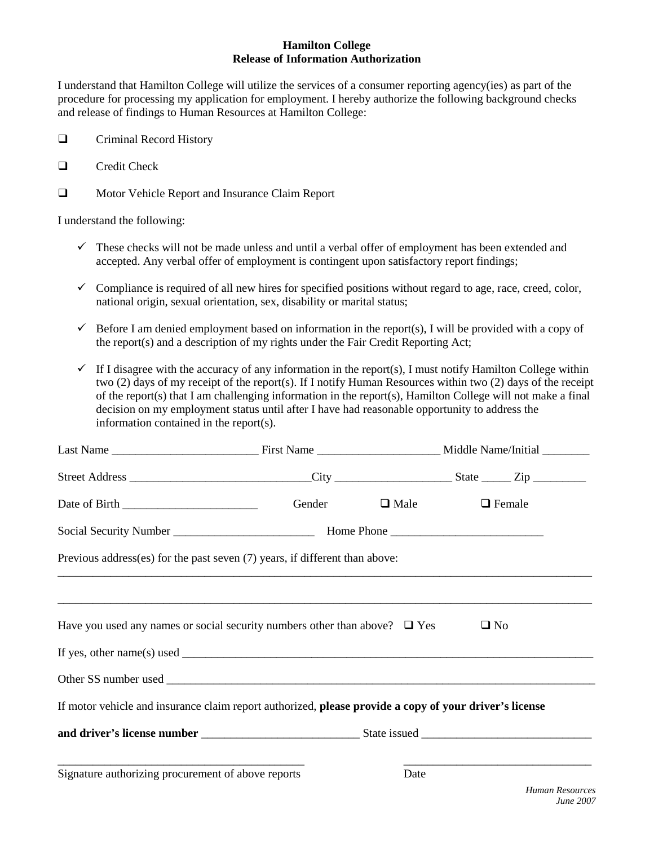## **Hamilton College Release of Information Authorization**

I understand that Hamilton College will utilize the services of a consumer reporting agency(ies) as part of the procedure for processing my application for employment. I hereby authorize the following background checks and release of findings to Human Resources at Hamilton College:

- **Q** Criminal Record History
- $\Box$  Credit Check
- $\Box$  Motor Vehicle Report and Insurance Claim Report

I understand the following:

- $\checkmark$  These checks will not be made unless and until a verbal offer of employment has been extended and accepted. Any verbal offer of employment is contingent upon satisfactory report findings;
- $\checkmark$  Compliance is required of all new hires for specified positions without regard to age, race, creed, color, national origin, sexual orientation, sex, disability or marital status;
- $\checkmark$  Before I am denied employment based on information in the report(s), I will be provided with a copy of the report(s) and a description of my rights under the Fair Credit Reporting Act;
- $\checkmark$  If I disagree with the accuracy of any information in the report(s), I must notify Hamilton College within two (2) days of my receipt of the report(s). If I notify Human Resources within two (2) days of the receipt of the report(s) that I am challenging information in the report(s), Hamilton College will not make a final decision on my employment status until after I have had reasonable opportunity to address the information contained in the report(s).

|                                                                                                        |  | Gender $\Box$ Male | $\Box$ Female |  |
|--------------------------------------------------------------------------------------------------------|--|--------------------|---------------|--|
|                                                                                                        |  |                    |               |  |
| Previous address(es) for the past seven (7) years, if different than above:                            |  |                    |               |  |
|                                                                                                        |  |                    |               |  |
| Have you used any names or social security numbers other than above? $\Box$ Yes                        |  |                    | $\Box$ No     |  |
| If yes, other name(s) used $\Box$                                                                      |  |                    |               |  |
|                                                                                                        |  |                    |               |  |
| If motor vehicle and insurance claim report authorized, please provide a copy of your driver's license |  |                    |               |  |
|                                                                                                        |  |                    |               |  |
| Signature authorizing procurement of above reports                                                     |  | Date               |               |  |